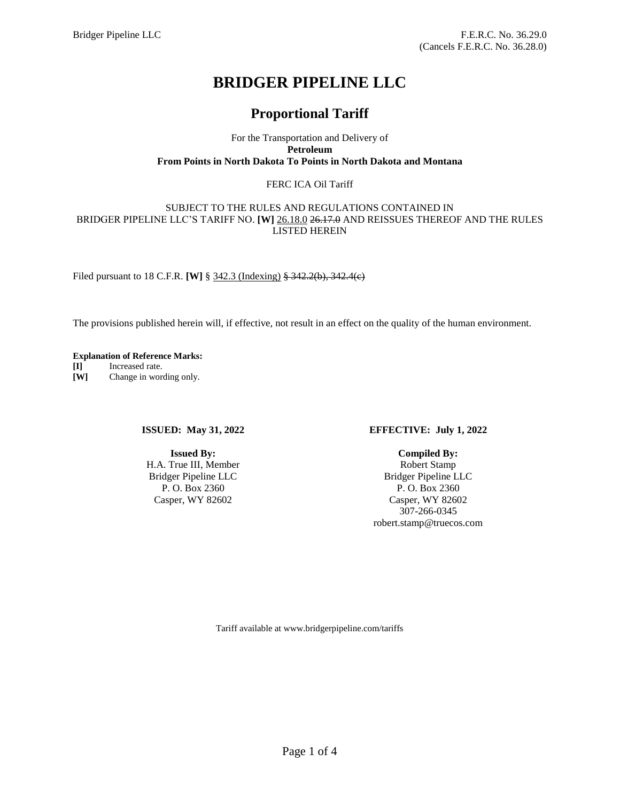# **BRIDGER PIPELINE LLC**

## **Proportional Tariff**

For the Transportation and Delivery of **Petroleum From Points in North Dakota To Points in North Dakota and Montana**

#### FERC ICA Oil Tariff

#### SUBJECT TO THE RULES AND REGULATIONS CONTAINED IN BRIDGER PIPELINE LLC'S TARIFF NO. **[W]** 26.18.0 26.17.0 AND REISSUES THEREOF AND THE RULES LISTED HEREIN

Filed pursuant to 18 C.F.R. **[W]** § 342.3 (Indexing) § 342.2(b), 342.4(c)

The provisions published herein will, if effective, not result in an effect on the quality of the human environment.

### **Explanation of Reference Marks:**

**[I]** Increased rate. **[W]** Change in wording only.

#### **ISSUED: May 31, 2022**

**Issued By:** H.A. True III, Member Bridger Pipeline LLC P. O. Box 2360 Casper, WY 82602

#### **EFFECTIVE: July 1, 2022**

**Compiled By:** Robert Stamp Bridger Pipeline LLC P. O. Box 2360 Casper, WY 82602 307-266-0345 robert.stamp@truecos.com

Tariff available at www.bridgerpipeline.com/tariffs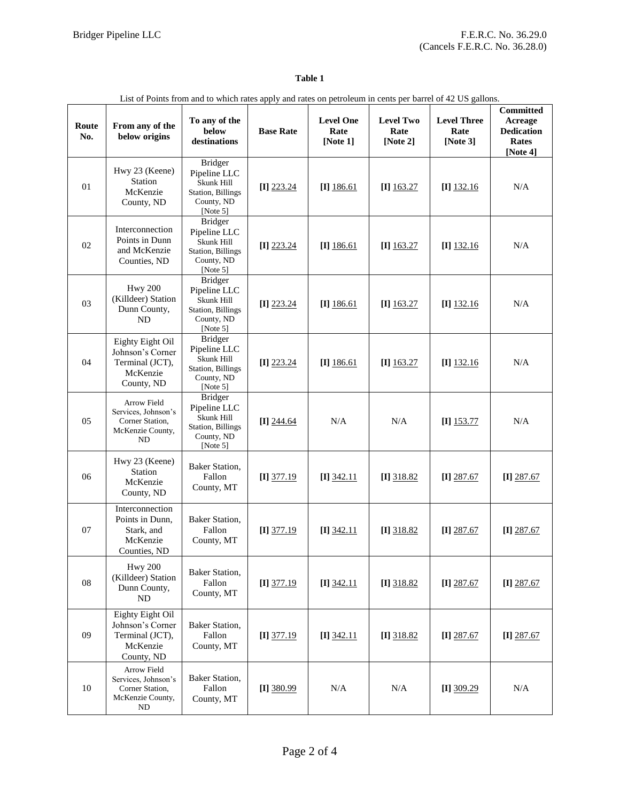### **Table 1**

| List of Points from and to which rates apply and rates on petroleum in cents per barrel of 42 US gallons. |                                                                                       |                                                                                                     |                  |                                      |                                      |                                           |                                                                       |  |
|-----------------------------------------------------------------------------------------------------------|---------------------------------------------------------------------------------------|-----------------------------------------------------------------------------------------------------|------------------|--------------------------------------|--------------------------------------|-------------------------------------------|-----------------------------------------------------------------------|--|
| Route<br>No.                                                                                              | From any of the<br>below origins                                                      | To any of the<br>below<br>destinations                                                              | <b>Base Rate</b> | <b>Level One</b><br>Rate<br>[Note 1] | <b>Level Two</b><br>Rate<br>[Note 2] | <b>Level Three</b><br>Rate<br>[Note $3$ ] | <b>Committed</b><br>Acreage<br><b>Dedication</b><br>Rates<br>[Note 4] |  |
| 01                                                                                                        | Hwy 23 (Keene)<br>Station<br>McKenzie<br>County, ND                                   | <b>Bridger</b><br>Pipeline LLC<br>Skunk Hill<br><b>Station</b> , Billings<br>County, ND<br>[Note 5] | $[I]$ 223.24     | $[I]$ 186.61                         | $[I]$ 163.27                         | $[I]$ 132.16                              | N/A                                                                   |  |
| 02                                                                                                        | Interconnection<br>Points in Dunn<br>and McKenzie<br>Counties, ND                     | <b>Bridger</b><br>Pipeline LLC<br>Skunk Hill<br><b>Station</b> , Billings<br>County, ND<br>[Note 5] | $[I]$ 223.24     | $[I]$ 186.61                         | $[I]$ 163.27                         | $[I]$ 132.16                              | N/A                                                                   |  |
| 03                                                                                                        | <b>Hwy 200</b><br>(Killdeer) Station<br>Dunn County,<br><b>ND</b>                     | <b>Bridger</b><br>Pipeline LLC<br>Skunk Hill<br><b>Station</b> , Billings<br>County, ND<br>[Note 5] | $[I]$ 223.24     | $[I]$ 186.61                         | $[I]$ 163.27                         | $[I]$ 132.16                              | N/A                                                                   |  |
| 04                                                                                                        | Eighty Eight Oil<br>Johnson's Corner<br>Terminal (JCT),<br>McKenzie<br>County, ND     | <b>Bridger</b><br>Pipeline LLC<br>Skunk Hill<br><b>Station</b> , Billings<br>County, ND<br>[Note 5] | $[I]$ 223.24     | $[I]$ 186.61                         | $[I]$ 163.27                         | $[I]$ 132.16                              | N/A                                                                   |  |
| 05                                                                                                        | Arrow Field<br>Services, Johnson's<br>Corner Station,<br>McKenzie County,<br>ND       | <b>Bridger</b><br>Pipeline LLC<br>Skunk Hill<br>Station, Billings<br>County, ND<br>[Note 5]         | $[I]$ 244.64     | N/A                                  | N/A                                  | $[I]$ 153.77                              | N/A                                                                   |  |
| 06                                                                                                        | Hwy 23 (Keene)<br><b>Station</b><br>McKenzie<br>County, ND                            | Baker Station,<br>Fallon<br>County, MT                                                              | $[I]$ 377.19     | $[I]$ 342.11                         | $[I]$ 318.82                         | $[I]$ 287.67                              | [I] $287.67$                                                          |  |
| 07                                                                                                        | Interconnection<br>Points in Dunn,<br>Stark, and<br>McKenzie<br>Counties, ND          | Baker Station,<br>Fallon<br>County, MT                                                              | $[I]$ 377.19     | $[I]$ 342.11                         | $[I]$ 318.82                         | $[I]$ 287.67                              | $[I]$ 287.67                                                          |  |
| ${\bf 08}$                                                                                                | <b>Hwy 200</b><br>(Killdeer) Station<br>Dunn County,<br>ND                            | Baker Station,<br>Fallon<br>County, MT                                                              | $[I]$ 377.19     | $[I]$ 342.11                         | $[I]$ 318.82                         | $[I]$ 287.67                              | $[I]$ 287.67                                                          |  |
| 09                                                                                                        | Eighty Eight Oil<br>Johnson's Corner<br>Terminal (JCT),<br>McKenzie<br>County, ND     | Baker Station,<br>Fallon<br>County, MT                                                              | $[I]$ 377.19     | $[I]$ 342.11                         | $[I]$ 318.82                         | $[I]$ 287.67                              | $[I]$ 287.67                                                          |  |
| 10                                                                                                        | Arrow Field<br>Services, Johnson's<br>Corner Station,<br>McKenzie County,<br>$\rm ND$ | Baker Station,<br>Fallon<br>County, MT                                                              | $[I]$ 380.99     | N/A                                  | N/A                                  | [I] $309.29$                              | N/A                                                                   |  |

#### List of Points from and to which rates apply and rates on petroleum in cents per barrel of 42 US gallons.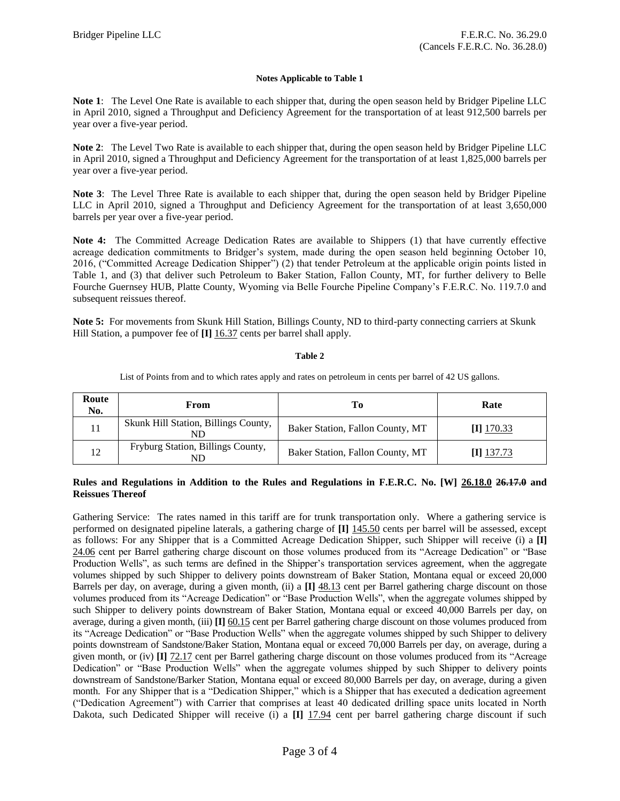#### **Notes Applicable to Table 1**

**Note 1**: The Level One Rate is available to each shipper that, during the open season held by Bridger Pipeline LLC in April 2010, signed a Throughput and Deficiency Agreement for the transportation of at least 912,500 barrels per year over a five-year period.

**Note 2**: The Level Two Rate is available to each shipper that, during the open season held by Bridger Pipeline LLC in April 2010, signed a Throughput and Deficiency Agreement for the transportation of at least 1,825,000 barrels per year over a five-year period.

**Note 3**: The Level Three Rate is available to each shipper that, during the open season held by Bridger Pipeline LLC in April 2010, signed a Throughput and Deficiency Agreement for the transportation of at least 3,650,000 barrels per year over a five-year period.

**Note 4:** The Committed Acreage Dedication Rates are available to Shippers (1) that have currently effective acreage dedication commitments to Bridger's system, made during the open season held beginning October 10, 2016, ("Committed Acreage Dedication Shipper") (2) that tender Petroleum at the applicable origin points listed in Table 1, and (3) that deliver such Petroleum to Baker Station, Fallon County, MT, for further delivery to Belle Fourche Guernsey HUB, Platte County, Wyoming via Belle Fourche Pipeline Company's F.E.R.C. No. 119.7.0 and subsequent reissues thereof.

**Note 5:** For movements from Skunk Hill Station, Billings County, ND to third-party connecting carriers at Skunk Hill Station, a pumpover fee of **[I]** 16.37 cents per barrel shall apply.

#### **Table 2**

List of Points from and to which rates apply and rates on petroleum in cents per barrel of 42 US gallons.

| Route<br>No. | From                                       | To                               | Rate         |
|--------------|--------------------------------------------|----------------------------------|--------------|
|              | Skunk Hill Station, Billings County,<br>ND | Baker Station, Fallon County, MT | $[I]$ 170.33 |
| 12           | Fryburg Station, Billings County,<br>ND    | Baker Station, Fallon County, MT | I] 137.73    |

#### **Rules and Regulations in Addition to the Rules and Regulations in F.E.R.C. No. [W] 26.18.0 26.17.0 and Reissues Thereof**

Gathering Service: The rates named in this tariff are for trunk transportation only. Where a gathering service is performed on designated pipeline laterals, a gathering charge of **[I]** 145.50 cents per barrel will be assessed, except as follows: For any Shipper that is a Committed Acreage Dedication Shipper, such Shipper will receive (i) a **[I]** 24.06 cent per Barrel gathering charge discount on those volumes produced from its "Acreage Dedication" or "Base Production Wells", as such terms are defined in the Shipper's transportation services agreement, when the aggregate volumes shipped by such Shipper to delivery points downstream of Baker Station, Montana equal or exceed 20,000 Barrels per day, on average, during a given month, (ii) a **[I]** 48.13 cent per Barrel gathering charge discount on those volumes produced from its "Acreage Dedication" or "Base Production Wells", when the aggregate volumes shipped by such Shipper to delivery points downstream of Baker Station, Montana equal or exceed 40,000 Barrels per day, on average, during a given month, (iii) **[I]** 60.15 cent per Barrel gathering charge discount on those volumes produced from its "Acreage Dedication" or "Base Production Wells" when the aggregate volumes shipped by such Shipper to delivery points downstream of Sandstone/Baker Station, Montana equal or exceed 70,000 Barrels per day, on average, during a given month, or (iv) **[I]** 72.17 cent per Barrel gathering charge discount on those volumes produced from its "Acreage Dedication" or "Base Production Wells" when the aggregate volumes shipped by such Shipper to delivery points downstream of Sandstone/Barker Station, Montana equal or exceed 80,000 Barrels per day, on average, during a given month. For any Shipper that is a "Dedication Shipper," which is a Shipper that has executed a dedication agreement ("Dedication Agreement") with Carrier that comprises at least 40 dedicated drilling space units located in North Dakota, such Dedicated Shipper will receive (i) a **[I]** 17.94 cent per barrel gathering charge discount if such